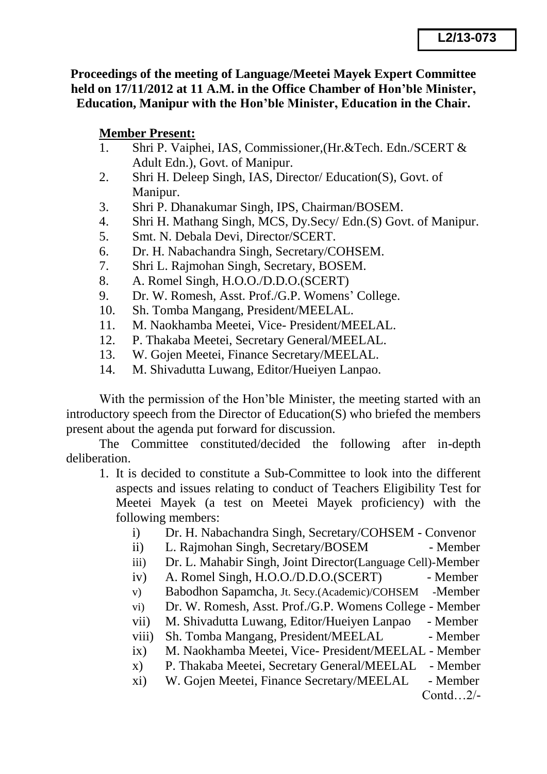**Proceedings of the meeting of Language/Meetei Mayek Expert Committee held on 17/11/2012 at 11 A.M. in the Office Chamber of Hon'ble Minister, Education, Manipur with the Hon'ble Minister, Education in the Chair.**

## **Member Present:**

- 1. Shri P. Vaiphei, IAS, Commissioner,(Hr.&Tech. Edn./SCERT & Adult Edn.), Govt. of Manipur.
- 2. Shri H. Deleep Singh, IAS, Director/ Education(S), Govt. of Manipur.
- 3. Shri P. Dhanakumar Singh, IPS, Chairman/BOSEM.
- 4. Shri H. Mathang Singh, MCS, Dy.Secy/ Edn.(S) Govt. of Manipur.
- 5. Smt. N. Debala Devi, Director/SCERT.
- 6. Dr. H. Nabachandra Singh, Secretary/COHSEM.
- 7. Shri L. Rajmohan Singh, Secretary, BOSEM.
- 8. A. Romel Singh, H.O.O./D.D.O.(SCERT)
- 9. Dr. W. Romesh, Asst. Prof./G.P. Womens' College.
- 10. Sh. Tomba Mangang, President/MEELAL.
- 11. M. Naokhamba Meetei, Vice- President/MEELAL.
- 12. P. Thakaba Meetei, Secretary General/MEELAL.
- 13. W. Gojen Meetei, Finance Secretary/MEELAL.
- 14. M. Shivadutta Luwang, Editor/Hueiyen Lanpao.

With the permission of the Hon'ble Minister, the meeting started with an introductory speech from the Director of Education(S) who briefed the members present about the agenda put forward for discussion.

The Committee constituted/decided the following after in-depth deliberation.

- 1. It is decided to constitute a Sub-Committee to look into the different aspects and issues relating to conduct of Teachers Eligibility Test for Meetei Mayek (a test on Meetei Mayek proficiency) with the following members:
	- i) Dr. H. Nabachandra Singh, Secretary/COHSEM Convenor
	- ii) L. Rajmohan Singh, Secretary/BOSEM Member
	- iii) Dr. L. Mahabir Singh, Joint Director(Language Cell)-Member
	- iv) A. Romel Singh, H.O.O./D.D.O.(SCERT) Member
	- v) Babodhon Sapamcha, Jt. Secy.(Academic)/COHSEM -Member
	- vi) Dr. W. Romesh, Asst. Prof./G.P. Womens College Member
	- vii) M. Shivadutta Luwang, Editor/Hueiyen Lanpao Member
	- viii) Sh. Tomba Mangang, President/MEELAL Member
	- ix) M. Naokhamba Meetei, Vice- President/MEELAL Member
	- x) P. Thakaba Meetei, Secretary General/MEELAL Member
	- xi) W. Gojen Meetei, Finance Secretary/MEELAL Member

Contd…2/-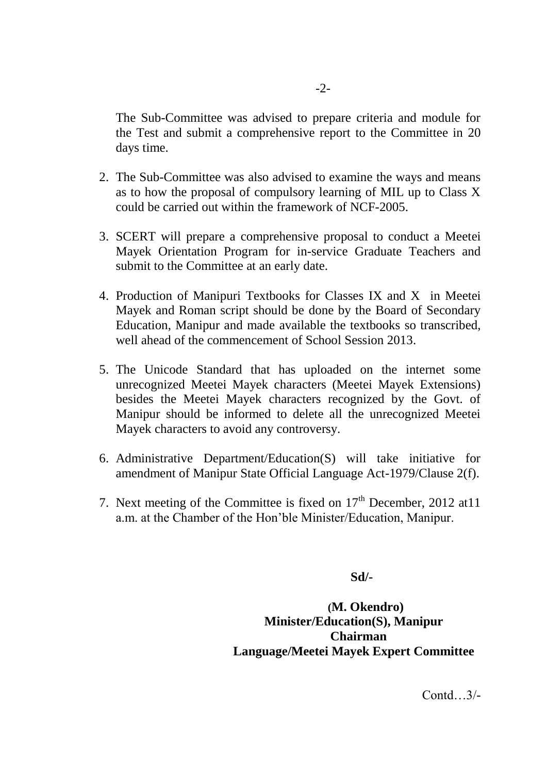The Sub-Committee was advised to prepare criteria and module for the Test and submit a comprehensive report to the Committee in 20 days time.

- 2. The Sub-Committee was also advised to examine the ways and means as to how the proposal of compulsory learning of MIL up to Class X could be carried out within the framework of NCF-2005.
- 3. SCERT will prepare a comprehensive proposal to conduct a Meetei Mayek Orientation Program for in-service Graduate Teachers and submit to the Committee at an early date.
- 4. Production of Manipuri Textbooks for Classes IX and X in Meetei Mayek and Roman script should be done by the Board of Secondary Education, Manipur and made available the textbooks so transcribed, well ahead of the commencement of School Session 2013.
- 5. The Unicode Standard that has uploaded on the internet some unrecognized Meetei Mayek characters (Meetei Mayek Extensions) besides the Meetei Mayek characters recognized by the Govt. of Manipur should be informed to delete all the unrecognized Meetei Mayek characters to avoid any controversy.
- 6. Administrative Department/Education(S) will take initiative for amendment of Manipur State Official Language Act-1979/Clause 2(f).
- 7. Next meeting of the Committee is fixed on  $17<sup>th</sup>$  December, 2012 at 11 a.m. at the Chamber of the Hon'ble Minister/Education, Manipur.

 **Sd/-**

 **(M. Okendro) Minister/Education(S), Manipur Chairman Language/Meetei Mayek Expert Committee**

Contd…3/-